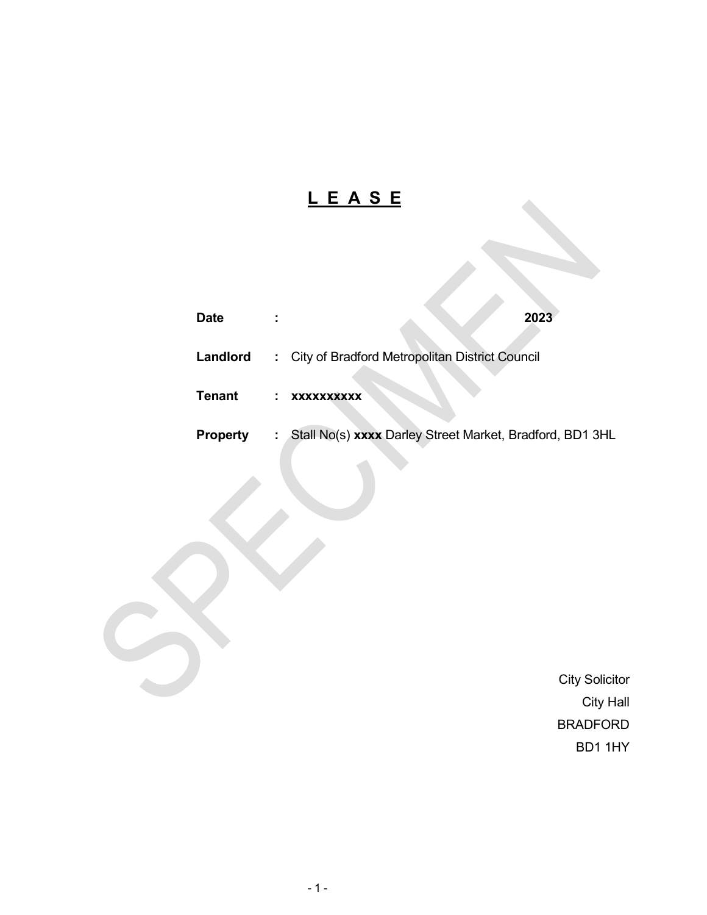# L E A S E

| <b>Date</b>     | 2023                                                                           |  |
|-----------------|--------------------------------------------------------------------------------|--|
| Landlord        | : City of Bradford Metropolitan District Council                               |  |
| <b>Tenant</b>   | XXXXXXXXXX                                                                     |  |
| <b>Property</b> | Stall No(s) xxxx Darley Street Market, Bradford, BD1 3HL<br><b>Sold Street</b> |  |

 City Solicitor City Hall BRADFORD BD1 1HY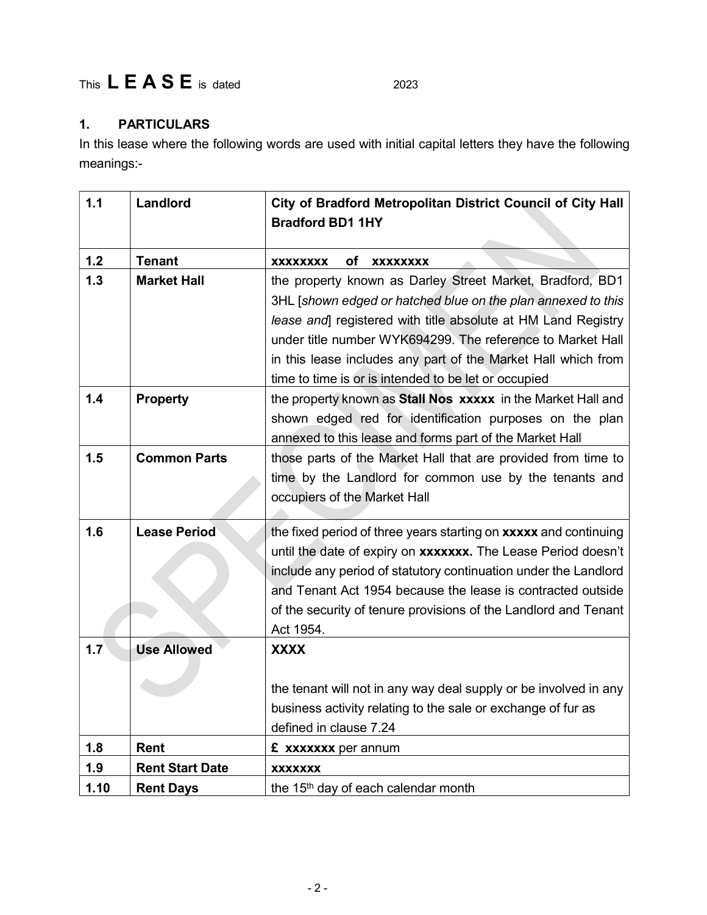## This  $L E A S E$  is dated  $2023$

### 1. PARTICULARS

In this lease where the following words are used with initial capital letters they have the following meanings:-

| 1.1  | Landlord               | City of Bradford Metropolitan District Council of City Hall<br><b>Bradford BD1 1HY</b> |
|------|------------------------|----------------------------------------------------------------------------------------|
| 1.2  | <b>Tenant</b>          | оf<br><b>XXXXXXXX</b><br><b>XXXXXXXX</b>                                               |
| 1.3  | <b>Market Hall</b>     | the property known as Darley Street Market, Bradford, BD1                              |
|      |                        | 3HL [shown edged or hatched blue on the plan annexed to this                           |
|      |                        | lease and registered with title absolute at HM Land Registry                           |
|      |                        | under title number WYK694299. The reference to Market Hall                             |
|      |                        | in this lease includes any part of the Market Hall which from                          |
|      |                        | time to time is or is intended to be let or occupied                                   |
| 1.4  | <b>Property</b>        | the property known as Stall Nos xxxxx in the Market Hall and                           |
|      |                        | shown edged red for identification purposes on the plan                                |
|      |                        | annexed to this lease and forms part of the Market Hall                                |
| 1.5  | <b>Common Parts</b>    | those parts of the Market Hall that are provided from time to                          |
|      |                        | time by the Landlord for common use by the tenants and                                 |
|      |                        | occupiers of the Market Hall                                                           |
| 1.6  | <b>Lease Period</b>    | the fixed period of three years starting on xxxxx and continuing                       |
|      |                        | until the date of expiry on xxxxxxx. The Lease Period doesn't                          |
|      |                        | include any period of statutory continuation under the Landlord                        |
|      |                        | and Tenant Act 1954 because the lease is contracted outside                            |
|      |                        | of the security of tenure provisions of the Landlord and Tenant                        |
|      |                        | Act 1954.                                                                              |
| 1.7  | <b>Use Allowed</b>     | <b>XXXX</b>                                                                            |
|      |                        | the tenant will not in any way deal supply or be involved in any                       |
|      |                        | business activity relating to the sale or exchange of fur as                           |
|      |                        | defined in clause 7.24                                                                 |
| 1.8  | Rent                   | £ xxxxxxx per annum                                                                    |
| 1.9  | <b>Rent Start Date</b> | <b>XXXXXXX</b>                                                                         |
| 1.10 | <b>Rent Days</b>       | the 15 <sup>th</sup> day of each calendar month                                        |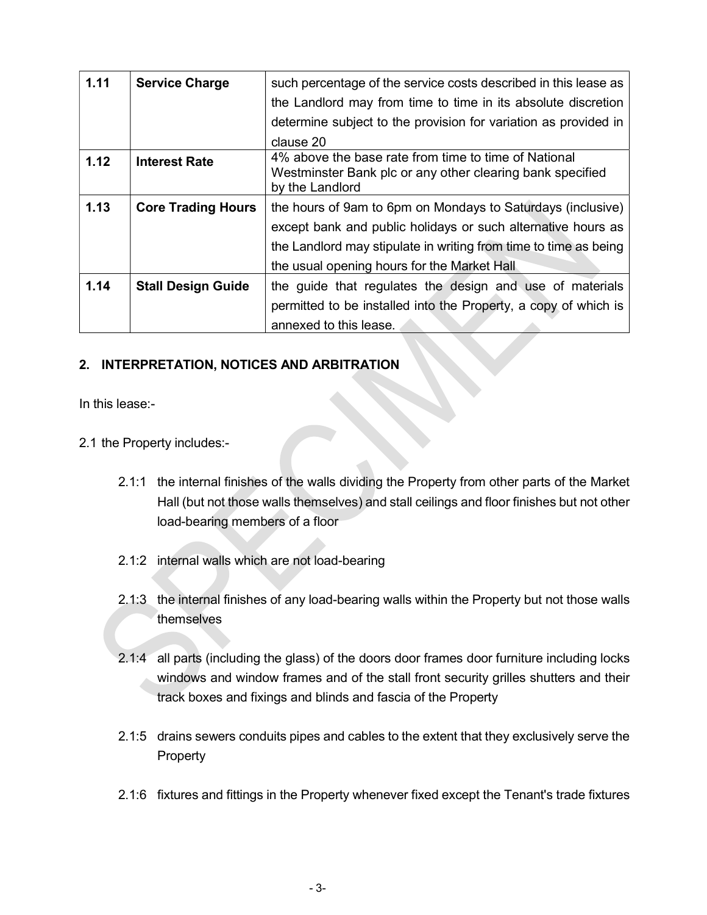| 1.11 | <b>Service Charge</b>     | such percentage of the service costs described in this lease as                                                                      |
|------|---------------------------|--------------------------------------------------------------------------------------------------------------------------------------|
|      |                           | the Landlord may from time to time in its absolute discretion                                                                        |
|      |                           | determine subject to the provision for variation as provided in                                                                      |
|      |                           | clause 20                                                                                                                            |
| 1.12 | <b>Interest Rate</b>      | 4% above the base rate from time to time of National<br>Westminster Bank plc or any other clearing bank specified<br>by the Landlord |
| 1.13 | <b>Core Trading Hours</b> | the hours of 9am to 6pm on Mondays to Saturdays (inclusive)                                                                          |
|      |                           | except bank and public holidays or such alternative hours as                                                                         |
|      |                           | the Landlord may stipulate in writing from time to time as being                                                                     |
|      |                           | the usual opening hours for the Market Hall                                                                                          |
| 1.14 | <b>Stall Design Guide</b> | the guide that regulates the design and use of materials                                                                             |
|      |                           | permitted to be installed into the Property, a copy of which is                                                                      |
|      |                           | annexed to this lease.                                                                                                               |

#### 2. INTERPRETATION, NOTICES AND ARBITRATION

In this lease:-

- 2.1 the Property includes:-
	- 2.1:1 the internal finishes of the walls dividing the Property from other parts of the Market Hall (but not those walls themselves) and stall ceilings and floor finishes but not other load-bearing members of a floor
	- 2.1:2 internal walls which are not load-bearing
	- 2.1:3 the internal finishes of any load-bearing walls within the Property but not those walls themselves
	- 2.1:4 all parts (including the glass) of the doors door frames door furniture including locks windows and window frames and of the stall front security grilles shutters and their track boxes and fixings and blinds and fascia of the Property
	- 2.1:5 drains sewers conduits pipes and cables to the extent that they exclusively serve the Property
	- 2.1:6 fixtures and fittings in the Property whenever fixed except the Tenant's trade fixtures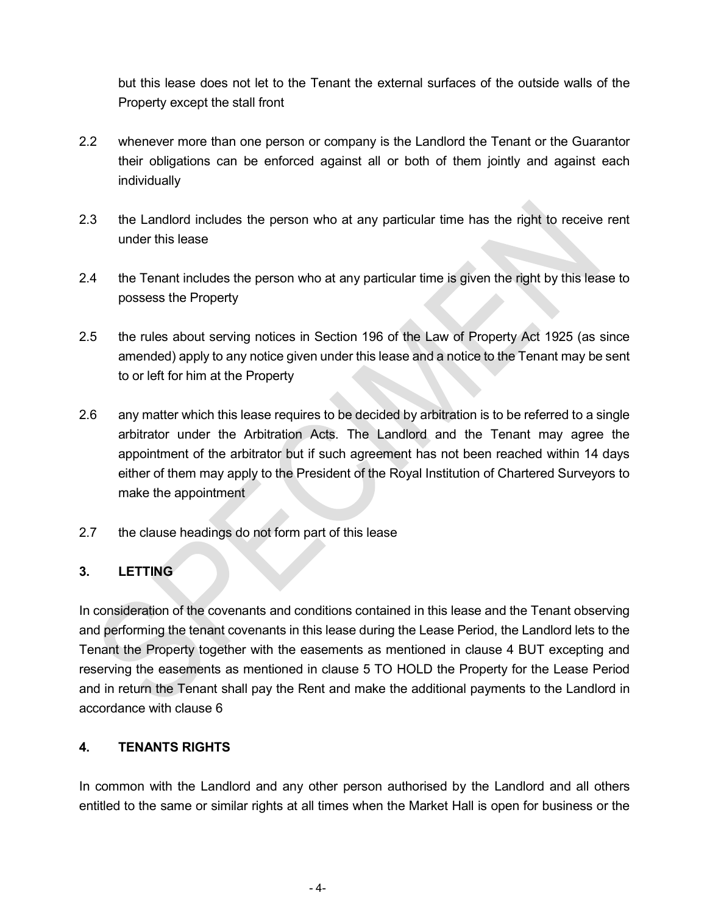but this lease does not let to the Tenant the external surfaces of the outside walls of the Property except the stall front

- 2.2 whenever more than one person or company is the Landlord the Tenant or the Guarantor their obligations can be enforced against all or both of them jointly and against each individually
- 2.3 the Landlord includes the person who at any particular time has the right to receive rent under this lease
- 2.4 the Tenant includes the person who at any particular time is given the right by this lease to possess the Property
- 2.5 the rules about serving notices in Section 196 of the Law of Property Act 1925 (as since amended) apply to any notice given under this lease and a notice to the Tenant may be sent to or left for him at the Property
- 2.6 any matter which this lease requires to be decided by arbitration is to be referred to a single arbitrator under the Arbitration Acts. The Landlord and the Tenant may agree the appointment of the arbitrator but if such agreement has not been reached within 14 days either of them may apply to the President of the Royal Institution of Chartered Surveyors to make the appointment
- 2.7 the clause headings do not form part of this lease

#### 3. LETTING

In consideration of the covenants and conditions contained in this lease and the Tenant observing and performing the tenant covenants in this lease during the Lease Period, the Landlord lets to the Tenant the Property together with the easements as mentioned in clause 4 BUT excepting and reserving the easements as mentioned in clause 5 TO HOLD the Property for the Lease Period and in return the Tenant shall pay the Rent and make the additional payments to the Landlord in accordance with clause 6

#### 4. TENANTS RIGHTS

In common with the Landlord and any other person authorised by the Landlord and all others entitled to the same or similar rights at all times when the Market Hall is open for business or the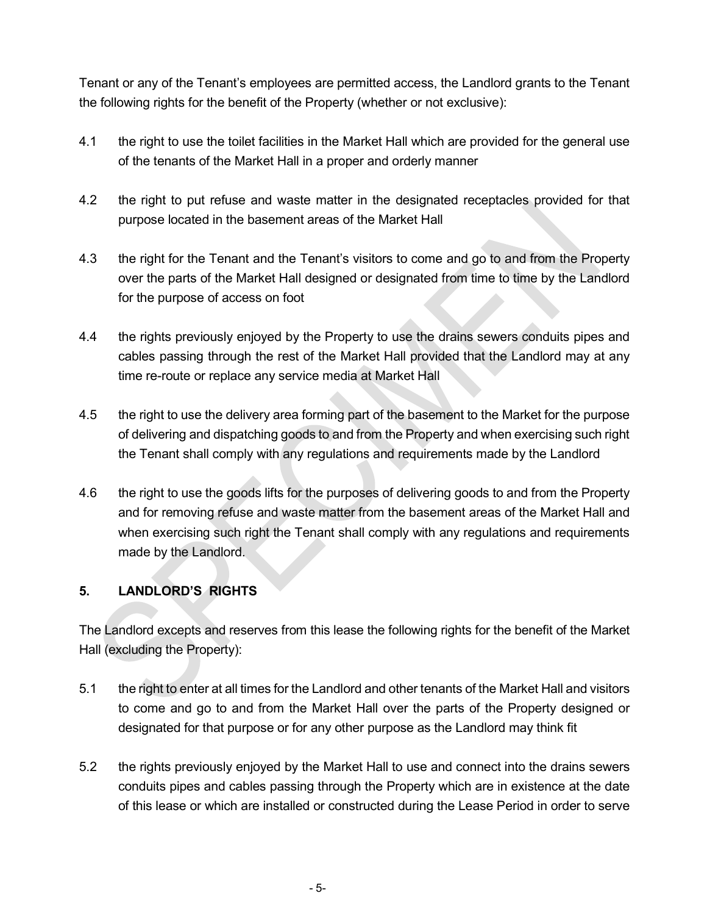Tenant or any of the Tenant's employees are permitted access, the Landlord grants to the Tenant the following rights for the benefit of the Property (whether or not exclusive):

- 4.1 the right to use the toilet facilities in the Market Hall which are provided for the general use of the tenants of the Market Hall in a proper and orderly manner
- 4.2 the right to put refuse and waste matter in the designated receptacles provided for that purpose located in the basement areas of the Market Hall
- 4.3 the right for the Tenant and the Tenant's visitors to come and go to and from the Property over the parts of the Market Hall designed or designated from time to time by the Landlord for the purpose of access on foot
- 4.4 the rights previously enjoyed by the Property to use the drains sewers conduits pipes and cables passing through the rest of the Market Hall provided that the Landlord may at any time re-route or replace any service media at Market Hall
- 4.5 the right to use the delivery area forming part of the basement to the Market for the purpose of delivering and dispatching goods to and from the Property and when exercising such right the Tenant shall comply with any regulations and requirements made by the Landlord
- 4.6 the right to use the goods lifts for the purposes of delivering goods to and from the Property and for removing refuse and waste matter from the basement areas of the Market Hall and when exercising such right the Tenant shall comply with any regulations and requirements made by the Landlord.

#### 5. LANDLORD'S RIGHTS

The Landlord excepts and reserves from this lease the following rights for the benefit of the Market Hall (excluding the Property):

- 5.1 the right to enter at all times for the Landlord and other tenants of the Market Hall and visitors to come and go to and from the Market Hall over the parts of the Property designed or designated for that purpose or for any other purpose as the Landlord may think fit
- 5.2 the rights previously enjoyed by the Market Hall to use and connect into the drains sewers conduits pipes and cables passing through the Property which are in existence at the date of this lease or which are installed or constructed during the Lease Period in order to serve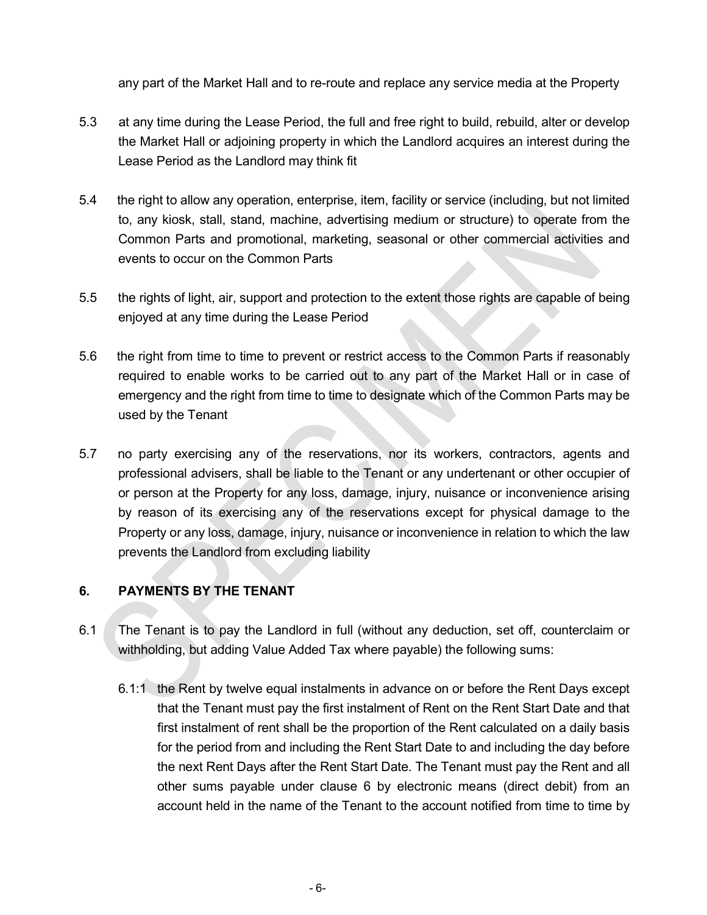any part of the Market Hall and to re-route and replace any service media at the Property

- 5.3 at any time during the Lease Period, the full and free right to build, rebuild, alter or develop the Market Hall or adjoining property in which the Landlord acquires an interest during the Lease Period as the Landlord may think fit
- 5.4 the right to allow any operation, enterprise, item, facility or service (including, but not limited to, any kiosk, stall, stand, machine, advertising medium or structure) to operate from the Common Parts and promotional, marketing, seasonal or other commercial activities and events to occur on the Common Parts
- 5.5 the rights of light, air, support and protection to the extent those rights are capable of being enjoyed at any time during the Lease Period
- 5.6 the right from time to time to prevent or restrict access to the Common Parts if reasonably required to enable works to be carried out to any part of the Market Hall or in case of emergency and the right from time to time to designate which of the Common Parts may be used by the Tenant
- 5.7 no party exercising any of the reservations, nor its workers, contractors, agents and professional advisers, shall be liable to the Tenant or any undertenant or other occupier of or person at the Property for any loss, damage, injury, nuisance or inconvenience arising by reason of its exercising any of the reservations except for physical damage to the Property or any loss, damage, injury, nuisance or inconvenience in relation to which the law prevents the Landlord from excluding liability

#### 6. PAYMENTS BY THE TENANT

- 6.1 The Tenant is to pay the Landlord in full (without any deduction, set off, counterclaim or withholding, but adding Value Added Tax where payable) the following sums:
	- 6.1:1 the Rent by twelve equal instalments in advance on or before the Rent Days except that the Tenant must pay the first instalment of Rent on the Rent Start Date and that first instalment of rent shall be the proportion of the Rent calculated on a daily basis for the period from and including the Rent Start Date to and including the day before the next Rent Days after the Rent Start Date. The Tenant must pay the Rent and all other sums payable under clause 6 by electronic means (direct debit) from an account held in the name of the Tenant to the account notified from time to time by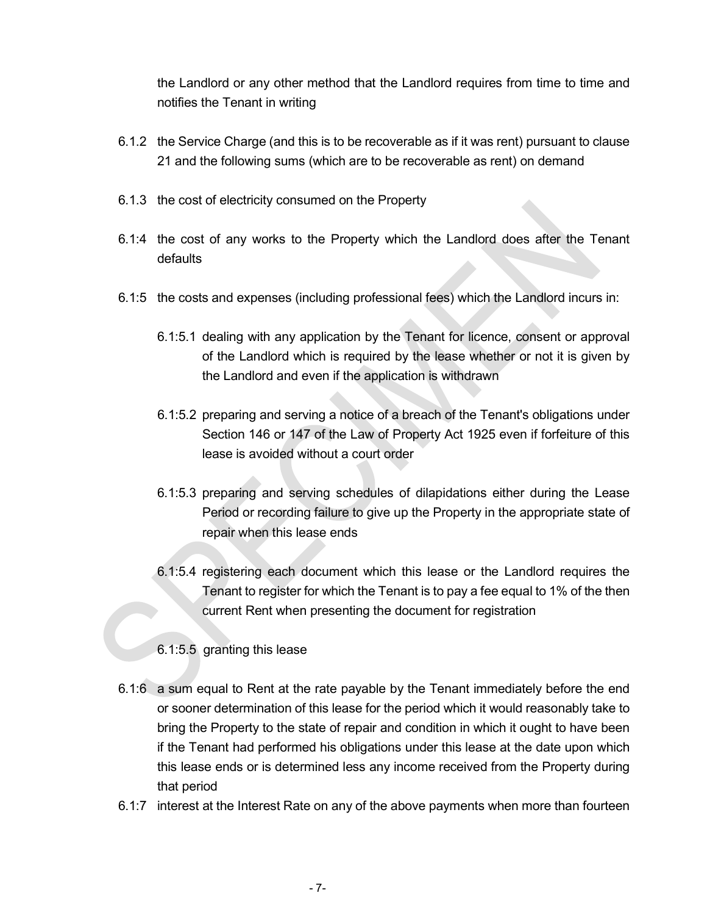the Landlord or any other method that the Landlord requires from time to time and notifies the Tenant in writing

- 6.1.2 the Service Charge (and this is to be recoverable as if it was rent) pursuant to clause 21 and the following sums (which are to be recoverable as rent) on demand
- 6.1.3 the cost of electricity consumed on the Property
- 6.1:4 the cost of any works to the Property which the Landlord does after the Tenant defaults
- 6.1:5 the costs and expenses (including professional fees) which the Landlord incurs in:
	- 6.1:5.1 dealing with any application by the Tenant for licence, consent or approval of the Landlord which is required by the lease whether or not it is given by the Landlord and even if the application is withdrawn
	- 6.1:5.2 preparing and serving a notice of a breach of the Tenant's obligations under Section 146 or 147 of the Law of Property Act 1925 even if forfeiture of this lease is avoided without a court order
	- 6.1:5.3 preparing and serving schedules of dilapidations either during the Lease Period or recording failure to give up the Property in the appropriate state of repair when this lease ends
	- 6.1:5.4 registering each document which this lease or the Landlord requires the Tenant to register for which the Tenant is to pay a fee equal to 1% of the then current Rent when presenting the document for registration
	- 6.1:5.5 granting this lease

**Contract Contract Contract Contract** 

<u>and the second property of the second property of the second property of the second property of the second property of the second property of the second property of the second property of the second property of the second</u>

- 6.1:6 a sum equal to Rent at the rate payable by the Tenant immediately before the end or sooner determination of this lease for the period which it would reasonably take to bring the Property to the state of repair and condition in which it ought to have been if the Tenant had performed his obligations under this lease at the date upon which this lease ends or is determined less any income received from the Property during that period
- 6.1:7 interest at the Interest Rate on any of the above payments when more than fourteen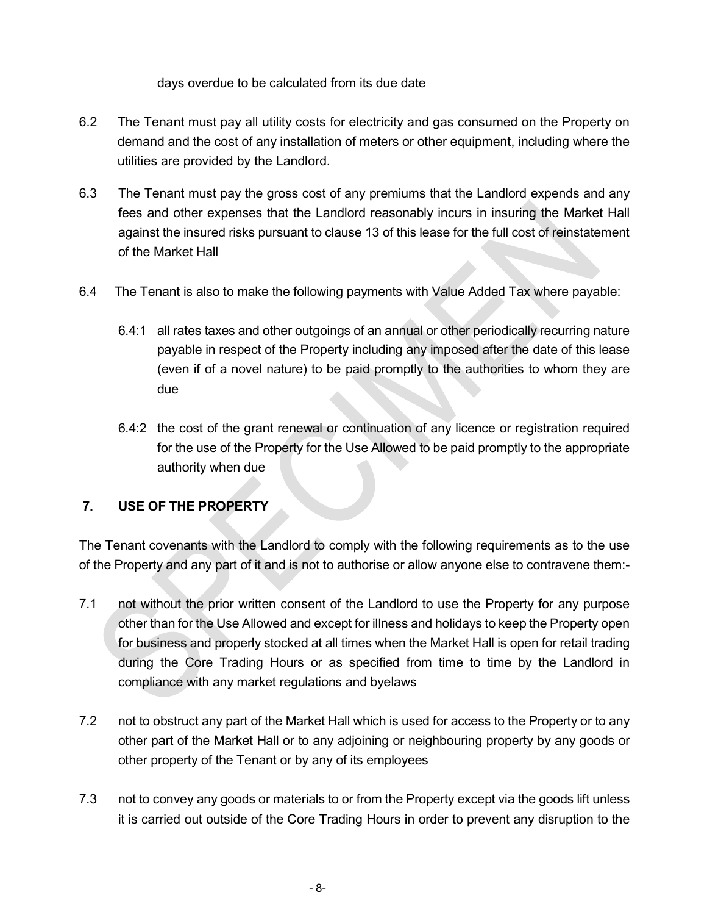days overdue to be calculated from its due date

- 6.2 The Tenant must pay all utility costs for electricity and gas consumed on the Property on demand and the cost of any installation of meters or other equipment, including where the utilities are provided by the Landlord.
- 6.3 The Tenant must pay the gross cost of any premiums that the Landlord expends and any fees and other expenses that the Landlord reasonably incurs in insuring the Market Hall against the insured risks pursuant to clause 13 of this lease for the full cost of reinstatement of the Market Hall
- 6.4 The Tenant is also to make the following payments with Value Added Tax where payable:
	- 6.4:1 all rates taxes and other outgoings of an annual or other periodically recurring nature payable in respect of the Property including any imposed after the date of this lease (even if of a novel nature) to be paid promptly to the authorities to whom they are due
	- 6.4:2 the cost of the grant renewal or continuation of any licence or registration required for the use of the Property for the Use Allowed to be paid promptly to the appropriate authority when due

#### 7. USE OF THE PROPERTY

The Tenant covenants with the Landlord to comply with the following requirements as to the use of the Property and any part of it and is not to authorise or allow anyone else to contravene them:-

- 7.1 not without the prior written consent of the Landlord to use the Property for any purpose other than for the Use Allowed and except for illness and holidays to keep the Property open for business and properly stocked at all times when the Market Hall is open for retail trading during the Core Trading Hours or as specified from time to time by the Landlord in compliance with any market regulations and byelaws
- 7.2 not to obstruct any part of the Market Hall which is used for access to the Property or to any other part of the Market Hall or to any adjoining or neighbouring property by any goods or other property of the Tenant or by any of its employees
- 7.3 not to convey any goods or materials to or from the Property except via the goods lift unless it is carried out outside of the Core Trading Hours in order to prevent any disruption to the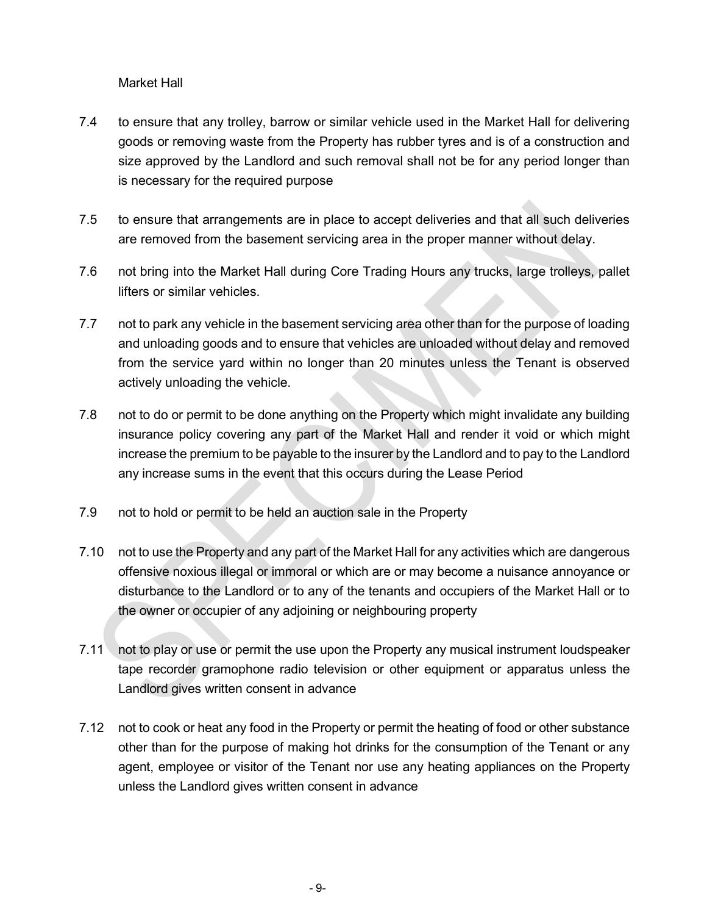Market Hall

- 7.4 to ensure that any trolley, barrow or similar vehicle used in the Market Hall for delivering goods or removing waste from the Property has rubber tyres and is of a construction and size approved by the Landlord and such removal shall not be for any period longer than is necessary for the required purpose
- 7.5 to ensure that arrangements are in place to accept deliveries and that all such deliveries are removed from the basement servicing area in the proper manner without delay.
- 7.6 not bring into the Market Hall during Core Trading Hours any trucks, large trolleys, pallet lifters or similar vehicles.
- 7.7 not to park any vehicle in the basement servicing area other than for the purpose of loading and unloading goods and to ensure that vehicles are unloaded without delay and removed from the service yard within no longer than 20 minutes unless the Tenant is observed actively unloading the vehicle.
- 7.8 not to do or permit to be done anything on the Property which might invalidate any building insurance policy covering any part of the Market Hall and render it void or which might increase the premium to be payable to the insurer by the Landlord and to pay to the Landlord any increase sums in the event that this occurs during the Lease Period
- 7.9 not to hold or permit to be held an auction sale in the Property
- 7.10 not to use the Property and any part of the Market Hall for any activities which are dangerous offensive noxious illegal or immoral or which are or may become a nuisance annoyance or disturbance to the Landlord or to any of the tenants and occupiers of the Market Hall or to the owner or occupier of any adjoining or neighbouring property
- 7.11 not to play or use or permit the use upon the Property any musical instrument loudspeaker tape recorder gramophone radio television or other equipment or apparatus unless the Landlord gives written consent in advance
- 7.12 not to cook or heat any food in the Property or permit the heating of food or other substance other than for the purpose of making hot drinks for the consumption of the Tenant or any agent, employee or visitor of the Tenant nor use any heating appliances on the Property unless the Landlord gives written consent in advance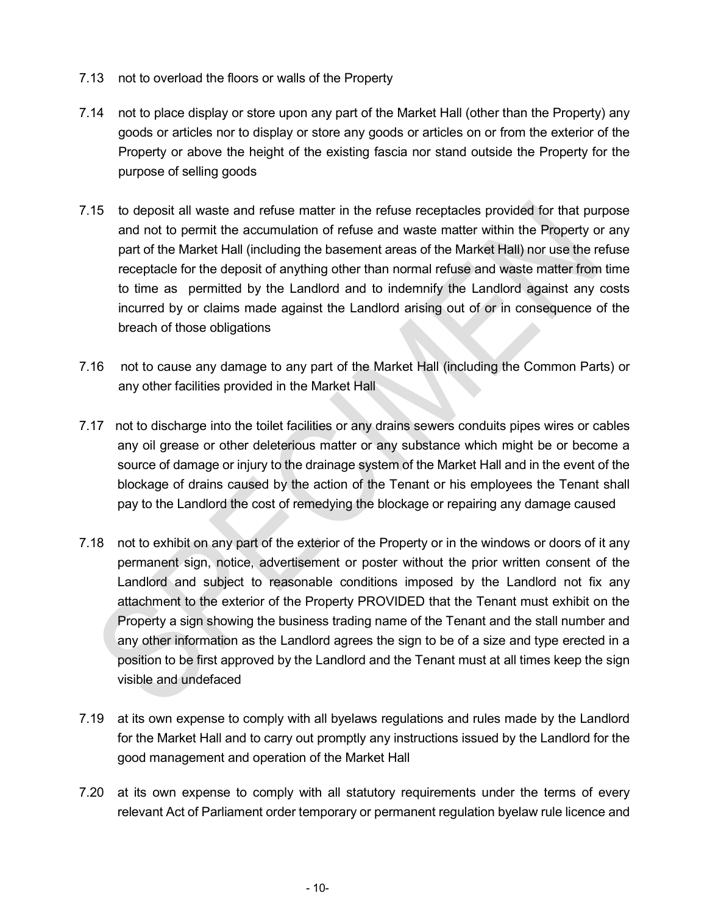- 7.13 not to overload the floors or walls of the Property
- 7.14 not to place display or store upon any part of the Market Hall (other than the Property) any goods or articles nor to display or store any goods or articles on or from the exterior of the Property or above the height of the existing fascia nor stand outside the Property for the purpose of selling goods
- 7.15 to deposit all waste and refuse matter in the refuse receptacles provided for that purpose and not to permit the accumulation of refuse and waste matter within the Property or any part of the Market Hall (including the basement areas of the Market Hall) nor use the refuse receptacle for the deposit of anything other than normal refuse and waste matter from time to time as permitted by the Landlord and to indemnify the Landlord against any costs incurred by or claims made against the Landlord arising out of or in consequence of the breach of those obligations
- 7.16 not to cause any damage to any part of the Market Hall (including the Common Parts) or any other facilities provided in the Market Hall
- 7.17 not to discharge into the toilet facilities or any drains sewers conduits pipes wires or cables any oil grease or other deleterious matter or any substance which might be or become a source of damage or injury to the drainage system of the Market Hall and in the event of the blockage of drains caused by the action of the Tenant or his employees the Tenant shall pay to the Landlord the cost of remedying the blockage or repairing any damage caused
- 7.18 not to exhibit on any part of the exterior of the Property or in the windows or doors of it any permanent sign, notice, advertisement or poster without the prior written consent of the Landlord and subject to reasonable conditions imposed by the Landlord not fix any attachment to the exterior of the Property PROVIDED that the Tenant must exhibit on the Property a sign showing the business trading name of the Tenant and the stall number and any other information as the Landlord agrees the sign to be of a size and type erected in a position to be first approved by the Landlord and the Tenant must at all times keep the sign visible and undefaced
- 7.19 at its own expense to comply with all byelaws regulations and rules made by the Landlord for the Market Hall and to carry out promptly any instructions issued by the Landlord for the good management and operation of the Market Hall
- 7.20 at its own expense to comply with all statutory requirements under the terms of every relevant Act of Parliament order temporary or permanent regulation byelaw rule licence and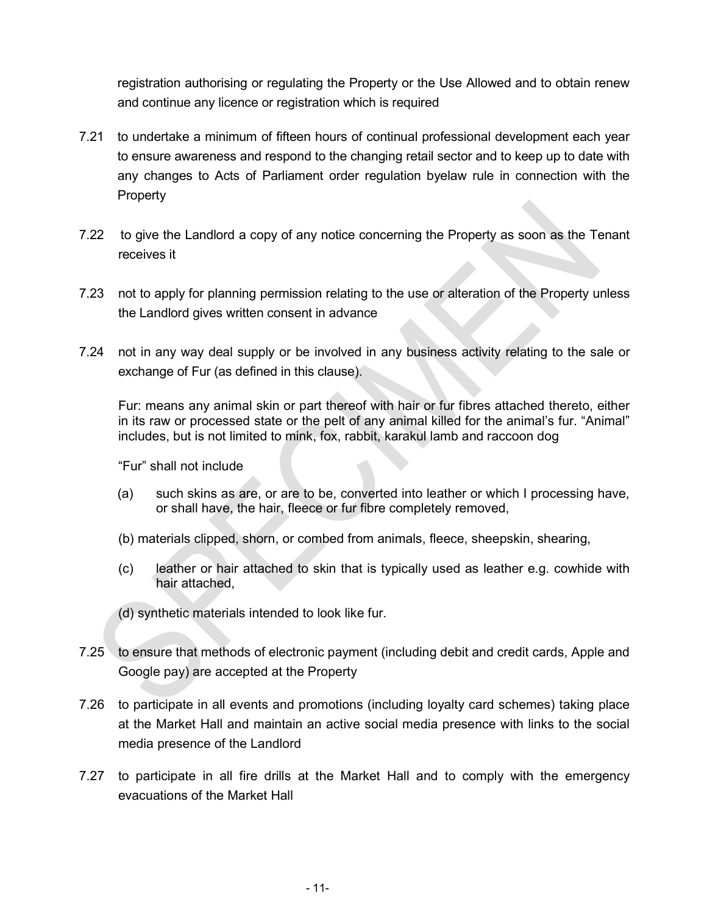registration authorising or regulating the Property or the Use Allowed and to obtain renew and continue any licence or registration which is required

- 7.21 to undertake a minimum of fifteen hours of continual professional development each year to ensure awareness and respond to the changing retail sector and to keep up to date with any changes to Acts of Parliament order regulation byelaw rule in connection with the **Property**
- 7.22 to give the Landlord a copy of any notice concerning the Property as soon as the Tenant receives it
- 7.23 not to apply for planning permission relating to the use or alteration of the Property unless the Landlord gives written consent in advance
- 7.24 not in any way deal supply or be involved in any business activity relating to the sale or exchange of Fur (as defined in this clause).

Fur: means any animal skin or part thereof with hair or fur fibres attached thereto, either in its raw or processed state or the pelt of any animal killed for the animal's fur. "Animal" includes, but is not limited to mink, fox, rabbit, karakul lamb and raccoon dog

"Fur" shall not include

- (a) such skins as are, or are to be, converted into leather or which I processing have, or shall have, the hair, fleece or fur fibre completely removed,
- (b) materials clipped, shorn, or combed from animals, fleece, sheepskin, shearing,
- (c) leather or hair attached to skin that is typically used as leather e.g. cowhide with hair attached,

(d) synthetic materials intended to look like fur.

- 7.25 to ensure that methods of electronic payment (including debit and credit cards, Apple and Google pay) are accepted at the Property
- 7.26 to participate in all events and promotions (including loyalty card schemes) taking place at the Market Hall and maintain an active social media presence with links to the social media presence of the Landlord
- 7.27 to participate in all fire drills at the Market Hall and to comply with the emergency evacuations of the Market Hall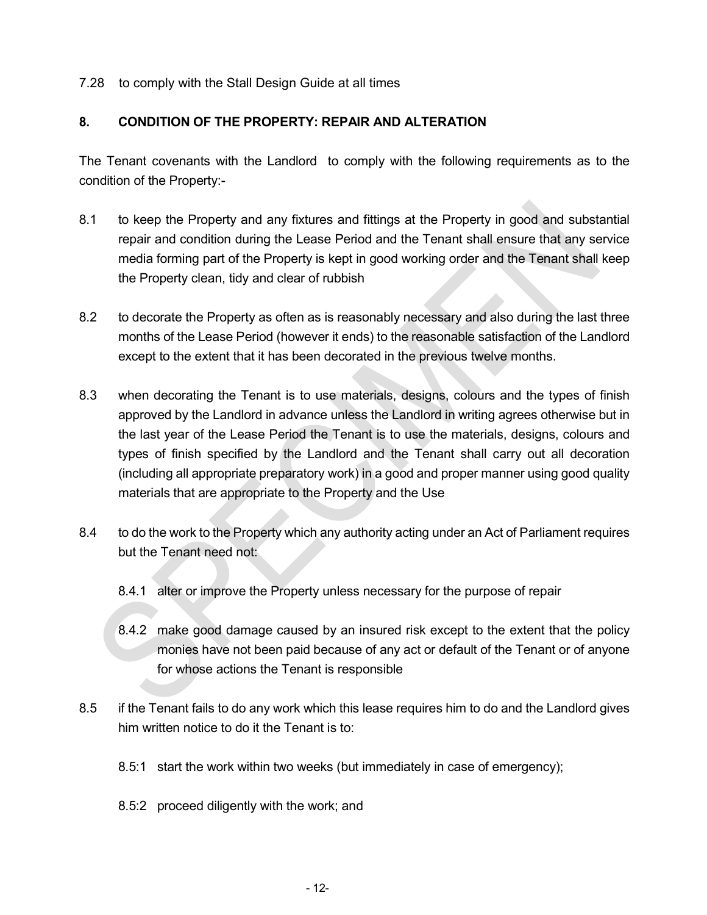7.28 to comply with the Stall Design Guide at all times

#### 8. CONDITION OF THE PROPERTY: REPAIR AND ALTERATION

The Tenant covenants with the Landlord to comply with the following requirements as to the condition of the Property:-

- 8.1 to keep the Property and any fixtures and fittings at the Property in good and substantial repair and condition during the Lease Period and the Tenant shall ensure that any service media forming part of the Property is kept in good working order and the Tenant shall keep the Property clean, tidy and clear of rubbish
- 8.2 to decorate the Property as often as is reasonably necessary and also during the last three months of the Lease Period (however it ends) to the reasonable satisfaction of the Landlord except to the extent that it has been decorated in the previous twelve months.
- 8.3 when decorating the Tenant is to use materials, designs, colours and the types of finish approved by the Landlord in advance unless the Landlord in writing agrees otherwise but in the last year of the Lease Period the Tenant is to use the materials, designs, colours and types of finish specified by the Landlord and the Tenant shall carry out all decoration (including all appropriate preparatory work) in a good and proper manner using good quality materials that are appropriate to the Property and the Use
- 8.4 to do the work to the Property which any authority acting under an Act of Parliament requires but the Tenant need not:
	- 8.4.1 alter or improve the Property unless necessary for the purpose of repair
	- 8.4.2 make good damage caused by an insured risk except to the extent that the policy monies have not been paid because of any act or default of the Tenant or of anyone for whose actions the Tenant is responsible
- 8.5 if the Tenant fails to do any work which this lease requires him to do and the Landlord gives him written notice to do it the Tenant is to:
	- 8.5:1 start the work within two weeks (but immediately in case of emergency);
	- 8.5:2 proceed diligently with the work; and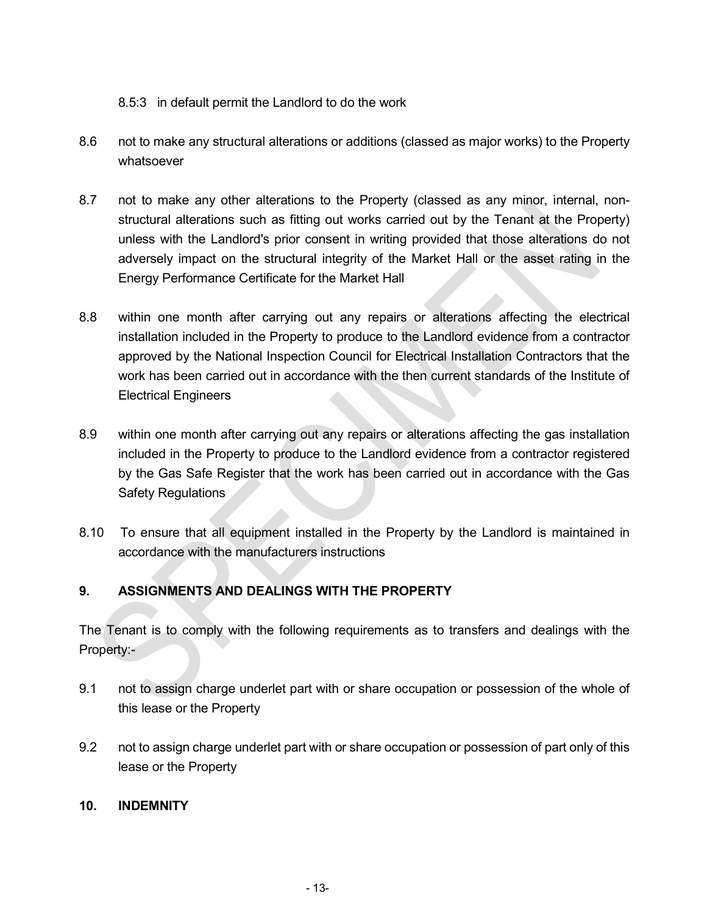#### 8.5:3 in default permit the Landlord to do the work

- 8.6 not to make any structural alterations or additions (classed as major works) to the Property whatsoever
- 8.7 not to make any other alterations to the Property (classed as any minor, internal, nonstructural alterations such as fitting out works carried out by the Tenant at the Property) unless with the Landlord's prior consent in writing provided that those alterations do not adversely impact on the structural integrity of the Market Hall or the asset rating in the Energy Performance Certificate for the Market Hall
- 8.8 within one month after carrying out any repairs or alterations affecting the electrical installation included in the Property to produce to the Landlord evidence from a contractor approved by the National Inspection Council for Electrical Installation Contractors that the work has been carried out in accordance with the then current standards of the Institute of Electrical Engineers
- 8.9 within one month after carrying out any repairs or alterations affecting the gas installation included in the Property to produce to the Landlord evidence from a contractor registered by the Gas Safe Register that the work has been carried out in accordance with the Gas Safety Regulations
- 8.10 To ensure that all equipment installed in the Property by the Landlord is maintained in accordance with the manufacturers instructions

#### 9. ASSIGNMENTS AND DEALINGS WITH THE PROPERTY

The Tenant is to comply with the following requirements as to transfers and dealings with the Property:-

- 9.1 not to assign charge underlet part with or share occupation or possession of the whole of this lease or the Property
- 9.2 not to assign charge underlet part with or share occupation or possession of part only of this lease or the Property

#### 10. INDEMNITY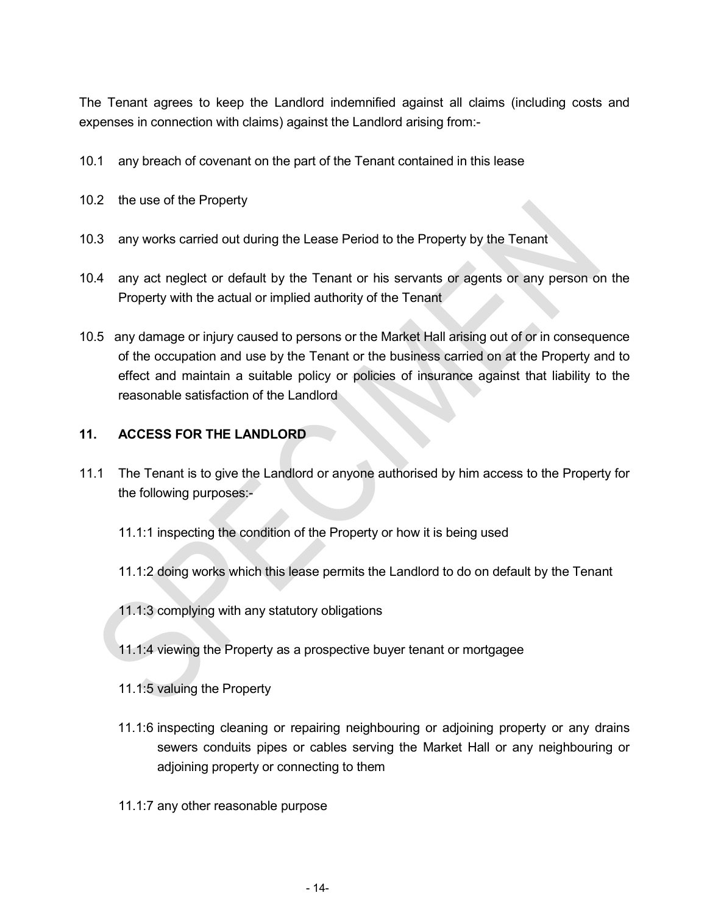The Tenant agrees to keep the Landlord indemnified against all claims (including costs and expenses in connection with claims) against the Landlord arising from:-

- 10.1 any breach of covenant on the part of the Tenant contained in this lease
- 10.2 the use of the Property
- 10.3 any works carried out during the Lease Period to the Property by the Tenant
- 10.4 any act neglect or default by the Tenant or his servants or agents or any person on the Property with the actual or implied authority of the Tenant
- 10.5 any damage or injury caused to persons or the Market Hall arising out of or in consequence of the occupation and use by the Tenant or the business carried on at the Property and to effect and maintain a suitable policy or policies of insurance against that liability to the reasonable satisfaction of the Landlord

#### 11. ACCESS FOR THE LANDLORD

- 11.1 The Tenant is to give the Landlord or anyone authorised by him access to the Property for the following purposes:-
	- 11.1:1 inspecting the condition of the Property or how it is being used
	- 11.1:2 doing works which this lease permits the Landlord to do on default by the Tenant
	- 11.1:3 complying with any statutory obligations
	- 11.1:4 viewing the Property as a prospective buyer tenant or mortgagee
	- 11.1:5 valuing the Property
	- 11.1:6 inspecting cleaning or repairing neighbouring or adjoining property or any drains sewers conduits pipes or cables serving the Market Hall or any neighbouring or adjoining property or connecting to them
	- 11.1:7 any other reasonable purpose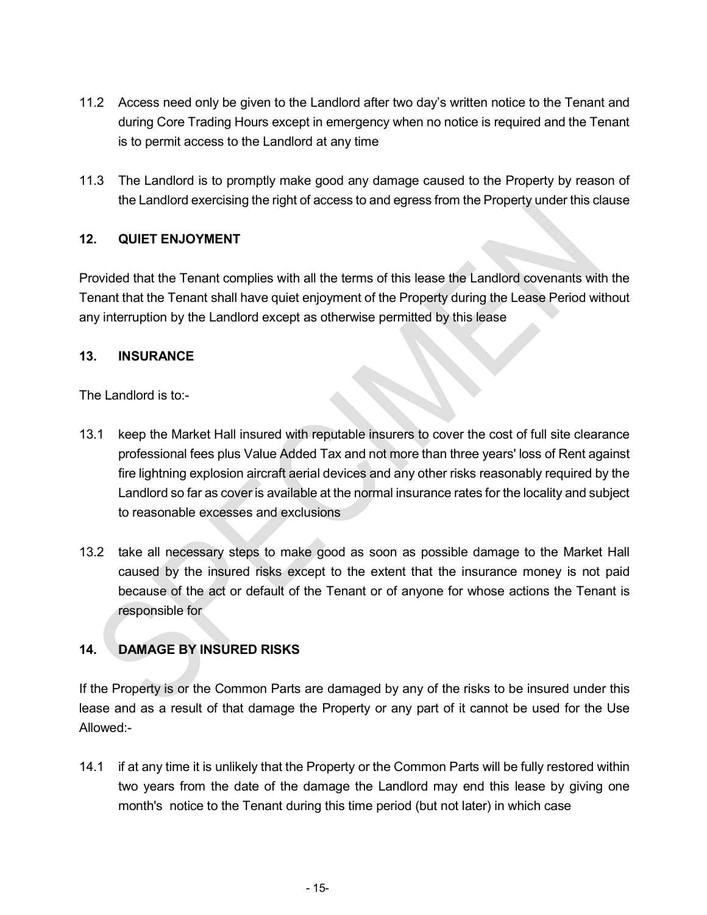- 11.2 Access need only be given to the Landlord after two day's written notice to the Tenant and during Core Trading Hours except in emergency when no notice is required and the Tenant is to permit access to the Landlord at any time
- 11.3 The Landlord is to promptly make good any damage caused to the Property by reason of the Landlord exercising the right of access to and egress from the Property under this clause

#### 12. QUIET ENJOYMENT

Provided that the Tenant complies with all the terms of this lease the Landlord covenants with the Tenant that the Tenant shall have quiet enjoyment of the Property during the Lease Period without any interruption by the Landlord except as otherwise permitted by this lease

#### 13. INSURANCE

The Landlord is to:-

- 13.1 keep the Market Hall insured with reputable insurers to cover the cost of full site clearance professional fees plus Value Added Tax and not more than three years' loss of Rent against fire lightning explosion aircraft aerial devices and any other risks reasonably required by the Landlord so far as cover is available at the normal insurance rates for the locality and subject to reasonable excesses and exclusions
- 13.2 take all necessary steps to make good as soon as possible damage to the Market Hall caused by the insured risks except to the extent that the insurance money is not paid because of the act or default of the Tenant or of anyone for whose actions the Tenant is responsible for

#### 14. DAMAGE BY INSURED RISKS

If the Property is or the Common Parts are damaged by any of the risks to be insured under this lease and as a result of that damage the Property or any part of it cannot be used for the Use Allowed:-

14.1 if at any time it is unlikely that the Property or the Common Parts will be fully restored within two years from the date of the damage the Landlord may end this lease by giving one month's notice to the Tenant during this time period (but not later) in which case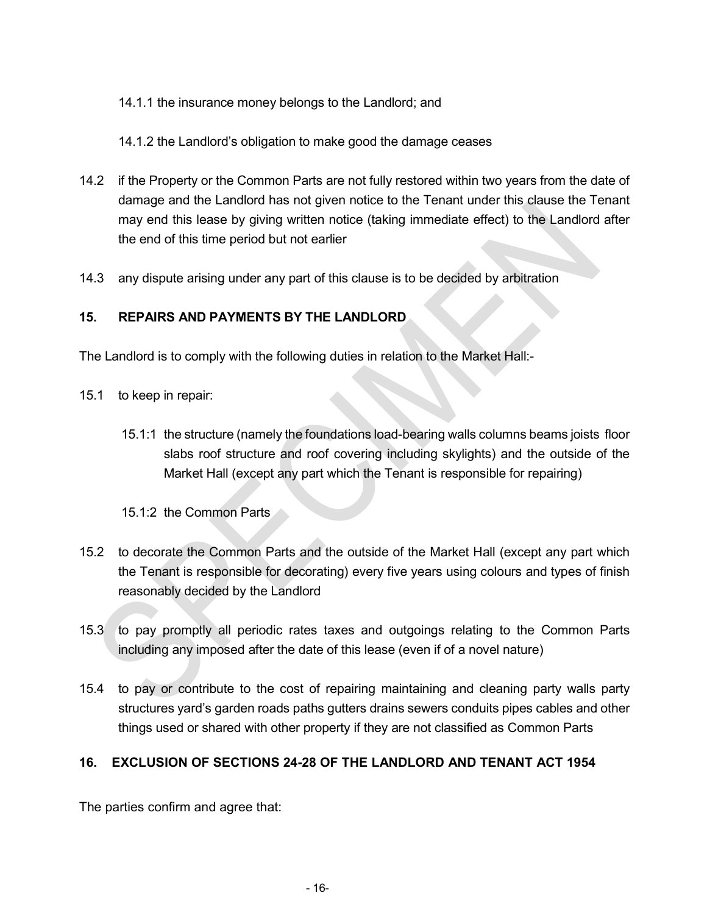#### 14.1.1 the insurance money belongs to the Landlord; and

14.1.2 the Landlord's obligation to make good the damage ceases

- 14.2 if the Property or the Common Parts are not fully restored within two years from the date of damage and the Landlord has not given notice to the Tenant under this clause the Tenant may end this lease by giving written notice (taking immediate effect) to the Landlord after the end of this time period but not earlier
- 14.3 any dispute arising under any part of this clause is to be decided by arbitration

#### 15. REPAIRS AND PAYMENTS BY THE LANDLORD

The Landlord is to comply with the following duties in relation to the Market Hall:-

- 15.1 to keep in repair:
	- 15.1:1 the structure (namely the foundations load-bearing walls columns beams joists floor slabs roof structure and roof covering including skylights) and the outside of the Market Hall (except any part which the Tenant is responsible for repairing)

15.1:2 the Common Parts

- 15.2 to decorate the Common Parts and the outside of the Market Hall (except any part which the Tenant is responsible for decorating) every five years using colours and types of finish reasonably decided by the Landlord
- 15.3 to pay promptly all periodic rates taxes and outgoings relating to the Common Parts including any imposed after the date of this lease (even if of a novel nature)
- 15.4 to pay or contribute to the cost of repairing maintaining and cleaning party walls party structures yard's garden roads paths gutters drains sewers conduits pipes cables and other things used or shared with other property if they are not classified as Common Parts

#### 16. EXCLUSION OF SECTIONS 24-28 OF THE LANDLORD AND TENANT ACT 1954

The parties confirm and agree that: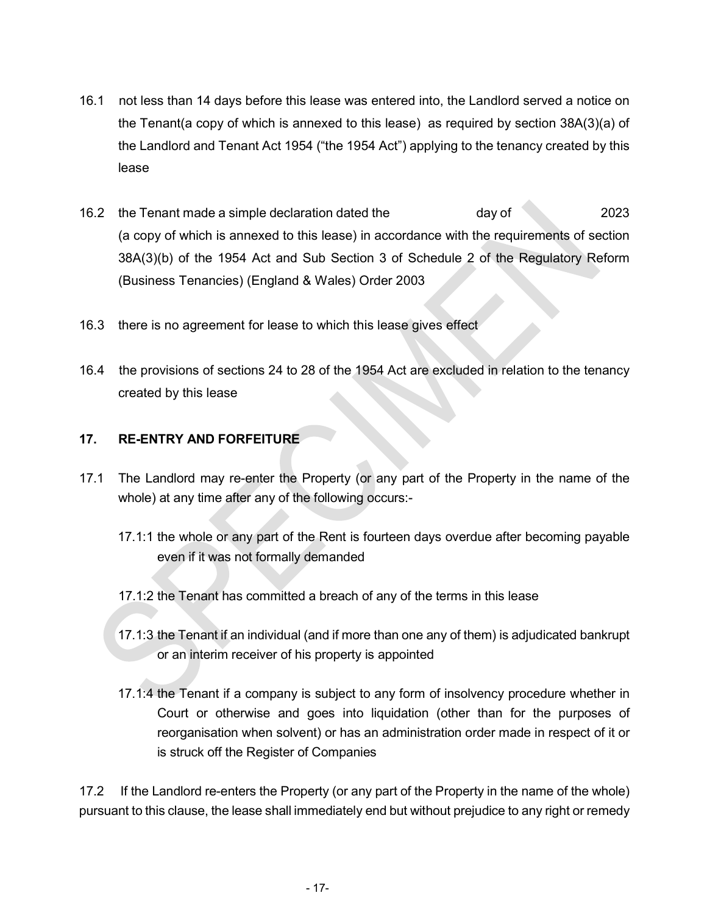- 16.1 not less than 14 days before this lease was entered into, the Landlord served a notice on the Tenant(a copy of which is annexed to this lease) as required by section 38A(3)(a) of the Landlord and Tenant Act 1954 ("the 1954 Act") applying to the tenancy created by this lease
- 16.2 the Tenant made a simple declaration dated the day of 2023 (a copy of which is annexed to this lease) in accordance with the requirements of section 38A(3)(b) of the 1954 Act and Sub Section 3 of Schedule 2 of the Regulatory Reform (Business Tenancies) (England & Wales) Order 2003
- 16.3 there is no agreement for lease to which this lease gives effect
- 16.4 the provisions of sections 24 to 28 of the 1954 Act are excluded in relation to the tenancy created by this lease

#### 17. RE-ENTRY AND FORFEITURE

<u>and the community of the community of the community of the community of the community of the community of the community of the community of the community of the community of the community of the community of the community</u>

- 17.1 The Landlord may re-enter the Property (or any part of the Property in the name of the whole) at any time after any of the following occurs:-
	- 17.1:1 the whole or any part of the Rent is fourteen days overdue after becoming payable even if it was not formally demanded
	- 17.1:2 the Tenant has committed a breach of any of the terms in this lease
	- 17.1:3 the Tenant if an individual (and if more than one any of them) is adjudicated bankrupt or an interim receiver of his property is appointed
	- 17.1:4 the Tenant if a company is subject to any form of insolvency procedure whether in Court or otherwise and goes into liquidation (other than for the purposes of reorganisation when solvent) or has an administration order made in respect of it or is struck off the Register of Companies

17.2 If the Landlord re-enters the Property (or any part of the Property in the name of the whole) pursuant to this clause, the lease shall immediately end but without prejudice to any right or remedy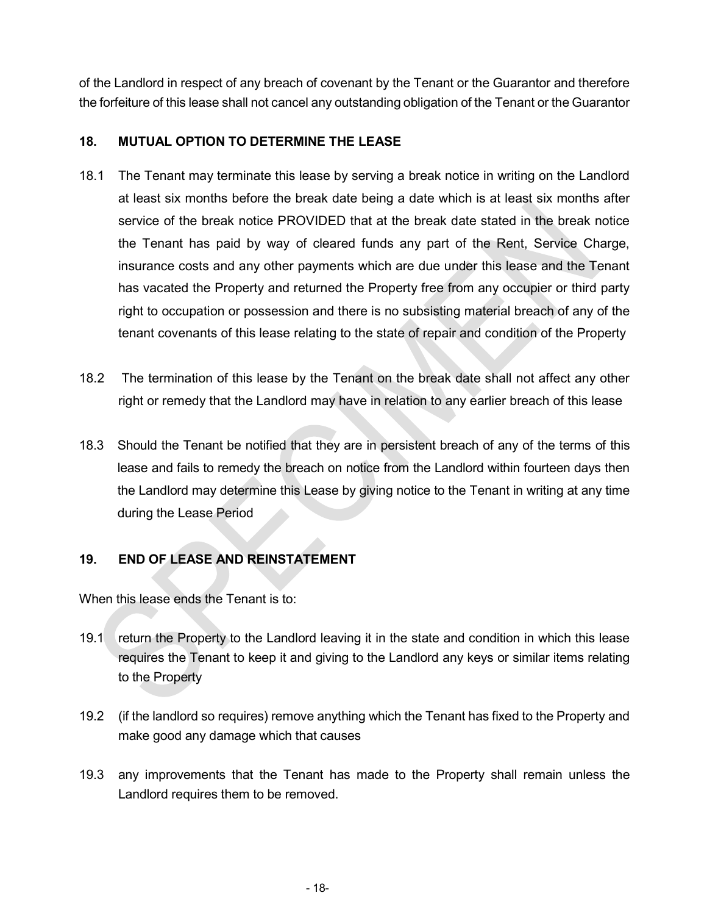of the Landlord in respect of any breach of covenant by the Tenant or the Guarantor and therefore the forfeiture of this lease shall not cancel any outstanding obligation of the Tenant or the Guarantor

#### 18. MUTUAL OPTION TO DETERMINE THE LEASE

- 18.1 The Tenant may terminate this lease by serving a break notice in writing on the Landlord at least six months before the break date being a date which is at least six months after service of the break notice PROVIDED that at the break date stated in the break notice the Tenant has paid by way of cleared funds any part of the Rent, Service Charge, insurance costs and any other payments which are due under this lease and the Tenant has vacated the Property and returned the Property free from any occupier or third party right to occupation or possession and there is no subsisting material breach of any of the tenant covenants of this lease relating to the state of repair and condition of the Property
- 18.2 The termination of this lease by the Tenant on the break date shall not affect any other right or remedy that the Landlord may have in relation to any earlier breach of this lease
- 18.3 Should the Tenant be notified that they are in persistent breach of any of the terms of this lease and fails to remedy the breach on notice from the Landlord within fourteen days then the Landlord may determine this Lease by giving notice to the Tenant in writing at any time during the Lease Period

#### 19. END OF LEASE AND REINSTATEMENT

When this lease ends the Tenant is to:

- 19.1 return the Property to the Landlord leaving it in the state and condition in which this lease requires the Tenant to keep it and giving to the Landlord any keys or similar items relating to the Property
- 19.2 (if the landlord so requires) remove anything which the Tenant has fixed to the Property and make good any damage which that causes
- 19.3 any improvements that the Tenant has made to the Property shall remain unless the Landlord requires them to be removed.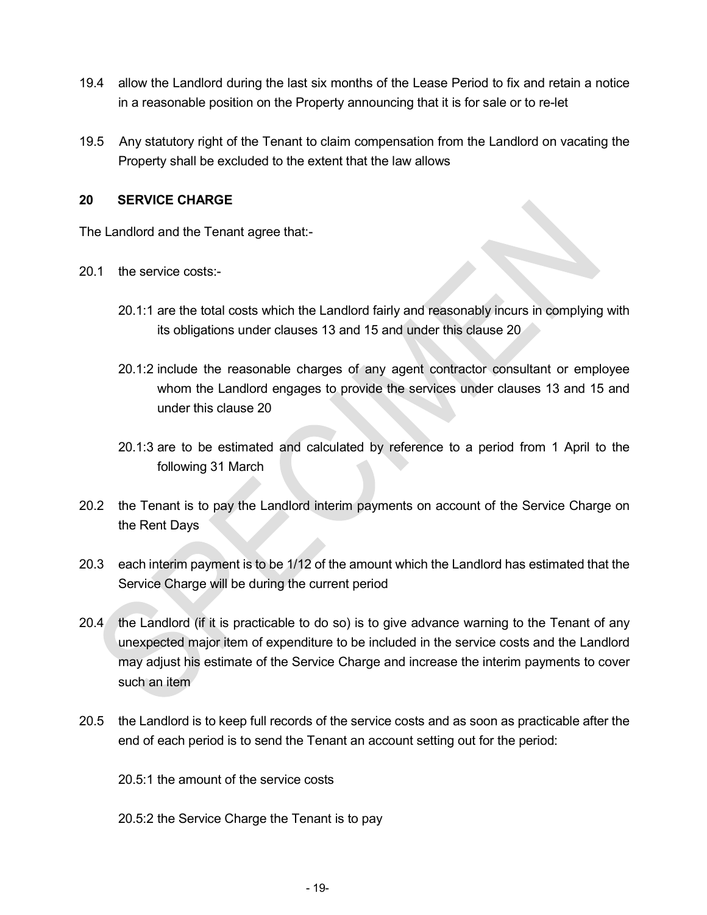- 19.4 allow the Landlord during the last six months of the Lease Period to fix and retain a notice in a reasonable position on the Property announcing that it is for sale or to re-let
- 19.5 Any statutory right of the Tenant to claim compensation from the Landlord on vacating the Property shall be excluded to the extent that the law allows

#### 20 SERVICE CHARGE

The Landlord and the Tenant agree that:-

- 20.1 the service costs:-
	- 20.1:1 are the total costs which the Landlord fairly and reasonably incurs in complying with its obligations under clauses 13 and 15 and under this clause 20
	- 20.1:2 include the reasonable charges of any agent contractor consultant or employee whom the Landlord engages to provide the services under clauses 13 and 15 and under this clause 20
	- 20.1:3 are to be estimated and calculated by reference to a period from 1 April to the following 31 March
- 20.2 the Tenant is to pay the Landlord interim payments on account of the Service Charge on the Rent Days
- 20.3 each interim payment is to be 1/12 of the amount which the Landlord has estimated that the Service Charge will be during the current period
- 20.4 the Landlord (if it is practicable to do so) is to give advance warning to the Tenant of any unexpected major item of expenditure to be included in the service costs and the Landlord may adjust his estimate of the Service Charge and increase the interim payments to cover such an item
- 20.5 the Landlord is to keep full records of the service costs and as soon as practicable after the end of each period is to send the Tenant an account setting out for the period:
	- 20.5:1 the amount of the service costs
	- 20.5:2 the Service Charge the Tenant is to pay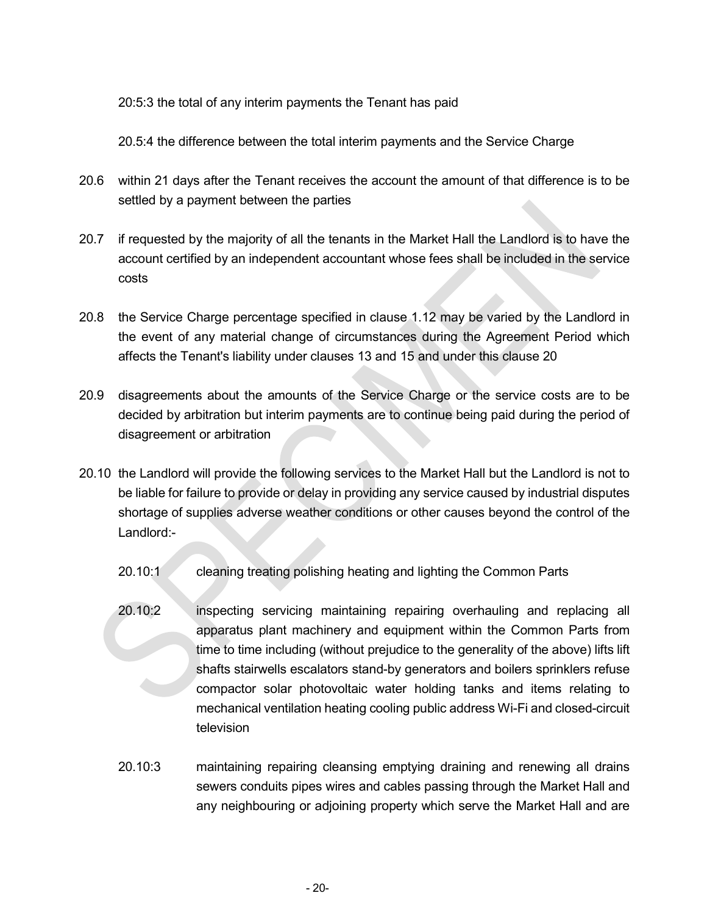20:5:3 the total of any interim payments the Tenant has paid

20.5:4 the difference between the total interim payments and the Service Charge

- 20.6 within 21 days after the Tenant receives the account the amount of that difference is to be settled by a payment between the parties
- 20.7 if requested by the majority of all the tenants in the Market Hall the Landlord is to have the account certified by an independent accountant whose fees shall be included in the service costs
- 20.8 the Service Charge percentage specified in clause 1.12 may be varied by the Landlord in the event of any material change of circumstances during the Agreement Period which affects the Tenant's liability under clauses 13 and 15 and under this clause 20
- 20.9 disagreements about the amounts of the Service Charge or the service costs are to be decided by arbitration but interim payments are to continue being paid during the period of disagreement or arbitration
- 20.10 the Landlord will provide the following services to the Market Hall but the Landlord is not to be liable for failure to provide or delay in providing any service caused by industrial disputes shortage of supplies adverse weather conditions or other causes beyond the control of the Landlord:-
	- 20.10:1 cleaning treating polishing heating and lighting the Common Parts
	- 20.10:2 inspecting servicing maintaining repairing overhauling and replacing all apparatus plant machinery and equipment within the Common Parts from time to time including (without prejudice to the generality of the above) lifts lift shafts stairwells escalators stand-by generators and boilers sprinklers refuse compactor solar photovoltaic water holding tanks and items relating to mechanical ventilation heating cooling public address Wi-Fi and closed-circuit television
	- 20.10:3 maintaining repairing cleansing emptying draining and renewing all drains sewers conduits pipes wires and cables passing through the Market Hall and any neighbouring or adjoining property which serve the Market Hall and are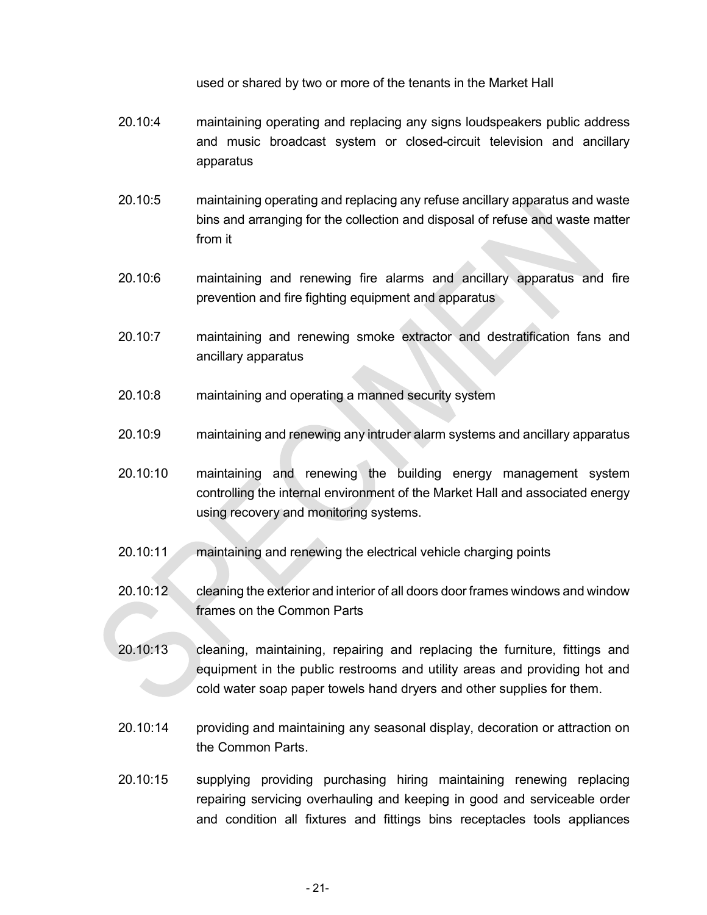used or shared by two or more of the tenants in the Market Hall

- 20.10:4 maintaining operating and replacing any signs loudspeakers public address and music broadcast system or closed-circuit television and ancillary apparatus
- 20.10:5 maintaining operating and replacing any refuse ancillary apparatus and waste bins and arranging for the collection and disposal of refuse and waste matter from it
- 20.10:6 maintaining and renewing fire alarms and ancillary apparatus and fire prevention and fire fighting equipment and apparatus
- 20.10:7 maintaining and renewing smoke extractor and destratification fans and ancillary apparatus
- 20.10:8 maintaining and operating a manned security system
- 20.10:9 maintaining and renewing any intruder alarm systems and ancillary apparatus
- 20.10:10 maintaining and renewing the building energy management system controlling the internal environment of the Market Hall and associated energy using recovery and monitoring systems.
- 20.10:11 maintaining and renewing the electrical vehicle charging points
- 20.10:12 cleaning the exterior and interior of all doors door frames windows and window frames on the Common Parts
- 20.10:13 cleaning, maintaining, repairing and replacing the furniture, fittings and equipment in the public restrooms and utility areas and providing hot and cold water soap paper towels hand dryers and other supplies for them.
- 20.10:14 providing and maintaining any seasonal display, decoration or attraction on the Common Parts.
- 20.10:15 supplying providing purchasing hiring maintaining renewing replacing repairing servicing overhauling and keeping in good and serviceable order and condition all fixtures and fittings bins receptacles tools appliances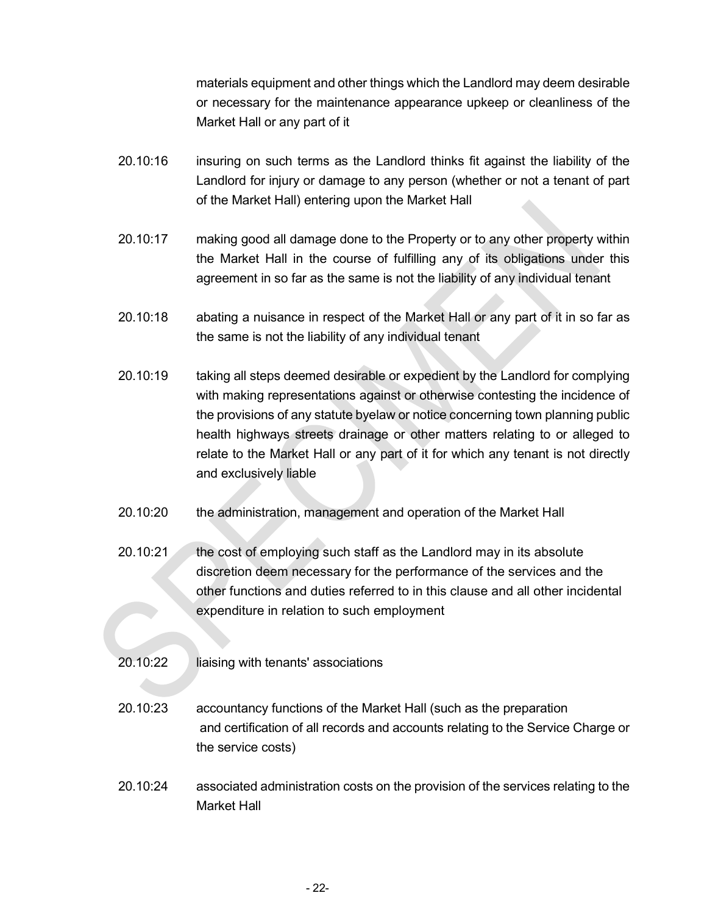materials equipment and other things which the Landlord may deem desirable or necessary for the maintenance appearance upkeep or cleanliness of the Market Hall or any part of it

- 20.10:16 insuring on such terms as the Landlord thinks fit against the liability of the Landlord for injury or damage to any person (whether or not a tenant of part of the Market Hall) entering upon the Market Hall
- 20.10:17 making good all damage done to the Property or to any other property within the Market Hall in the course of fulfilling any of its obligations under this agreement in so far as the same is not the liability of any individual tenant
- 20.10:18 abating a nuisance in respect of the Market Hall or any part of it in so far as the same is not the liability of any individual tenant
- 20.10:19 taking all steps deemed desirable or expedient by the Landlord for complying with making representations against or otherwise contesting the incidence of the provisions of any statute byelaw or notice concerning town planning public health highways streets drainage or other matters relating to or alleged to relate to the Market Hall or any part of it for which any tenant is not directly and exclusively liable
- 20.10:20 the administration, management and operation of the Market Hall
- 20.10:21 the cost of employing such staff as the Landlord may in its absolute discretion deem necessary for the performance of the services and the other functions and duties referred to in this clause and all other incidental expenditure in relation to such employment
- 20.10:22 liaising with tenants' associations
- 20.10:23 accountancy functions of the Market Hall (such as the preparation and certification of all records and accounts relating to the Service Charge or the service costs)
- 20.10:24 associated administration costs on the provision of the services relating to the Market Hall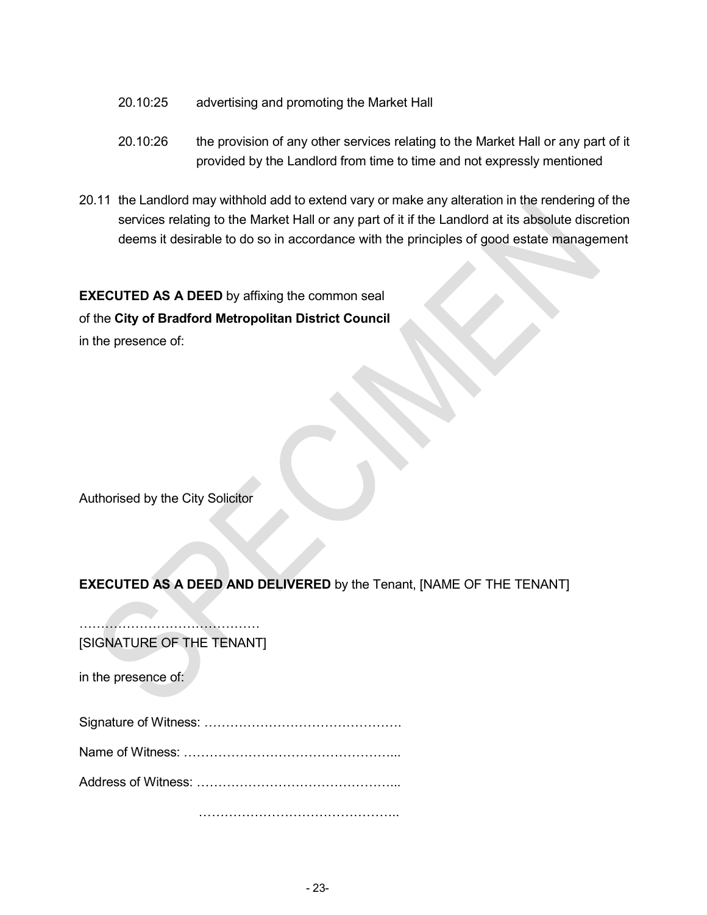- 20.10:25 advertising and promoting the Market Hall
- 20.10:26 the provision of any other services relating to the Market Hall or any part of it provided by the Landlord from time to time and not expressly mentioned
- 20.11 the Landlord may withhold add to extend vary or make any alteration in the rendering of the services relating to the Market Hall or any part of it if the Landlord at its absolute discretion deems it desirable to do so in accordance with the principles of good estate management

EXECUTED AS A DEED by affixing the common seal of the City of Bradford Metropolitan District Council in the presence of:

Authorised by the City Solicitor

# EXECUTED AS A DEED AND DELIVERED by the Tenant, [NAME OF THE TENANT] ……………………………………

[SIGNATURE OF THE TENANT]

in the presence of:

Signature of Witness: ……………………………………….

Name of Witness: …………………………………………...

Address of Witness: ………………………………………...

……………………………………………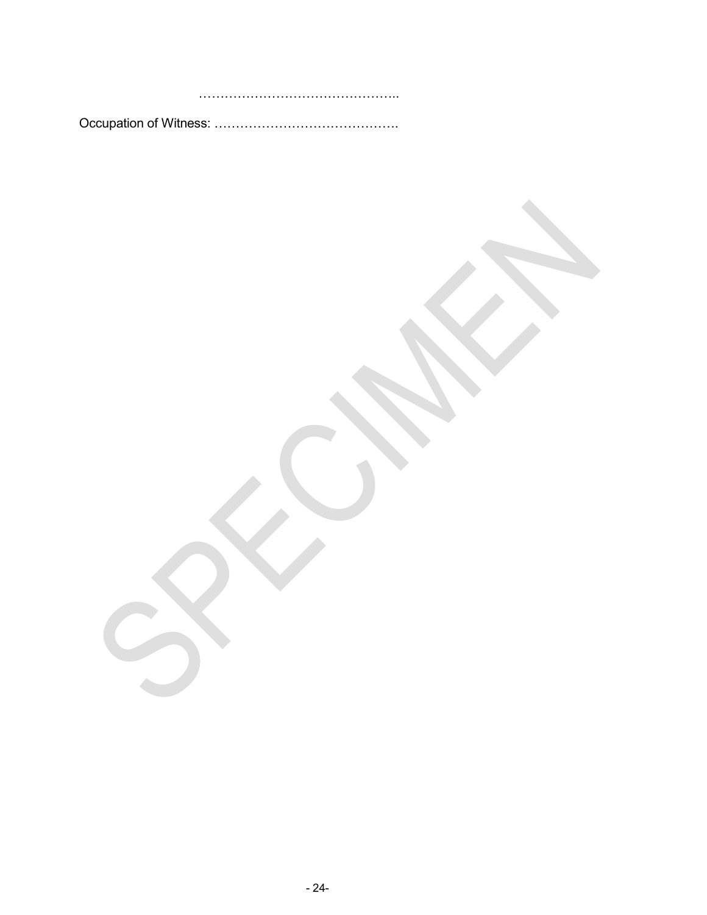………………………………………..

Occupation of Witness: …………………………………….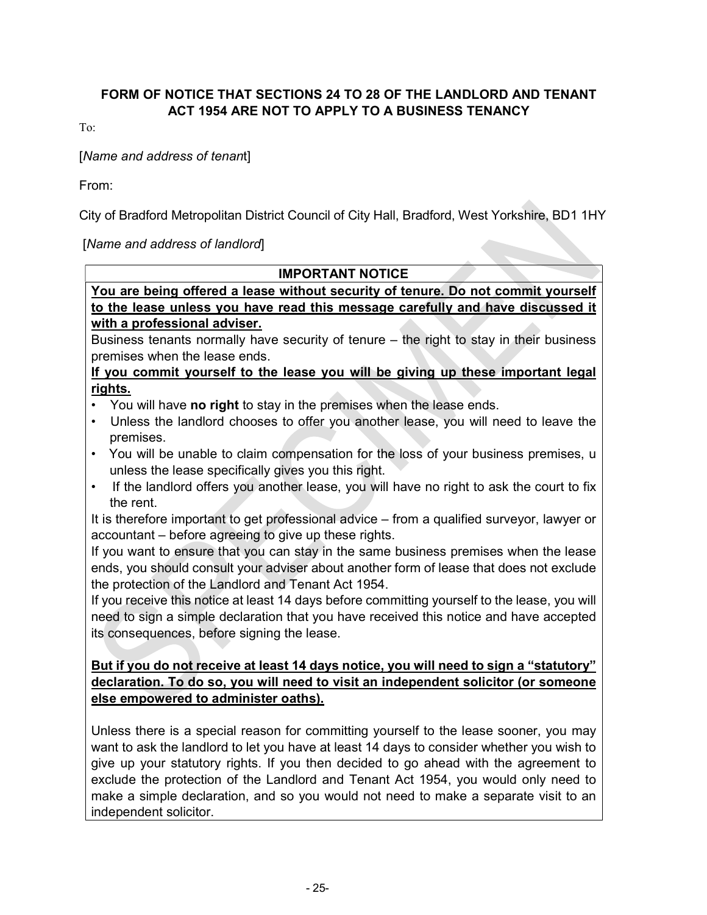#### FORM OF NOTICE THAT SECTIONS 24 TO 28 OF THE LANDLORD AND TENANT ACT 1954 ARE NOT TO APPLY TO A BUSINESS TENANCY

To:

#### [Name and address of tenant]

From:

City of Bradford Metropolitan District Council of City Hall, Bradford, West Yorkshire, BD1 1HY

[Name and address of landlord]

| <b>IMPORTANT NOTICE</b>                                                                           |
|---------------------------------------------------------------------------------------------------|
| You are being offered a lease without security of tenure. Do not commit yourself                  |
| to the lease unless you have read this message carefully and have discussed it                    |
| with a professional adviser.                                                                      |
| Business tenants normally have security of tenure – the right to stay in their business           |
| premises when the lease ends.                                                                     |
| If you commit yourself to the lease you will be giving up these important legal                   |
| rights.                                                                                           |
| • You will have no right to stay in the premises when the lease ends.                             |
| • Unless the landlord chooses to offer you another lease, you will need to leave the<br>premises. |
|                                                                                                   |

- You will be unable to claim compensation for the loss of your business premises, u unless the lease specifically gives you this right.
- If the landlord offers you another lease, you will have no right to ask the court to fix the rent.

It is therefore important to get professional advice – from a qualified surveyor, lawyer or accountant – before agreeing to give up these rights.

If you want to ensure that you can stay in the same business premises when the lease ends, you should consult your adviser about another form of lease that does not exclude the protection of the Landlord and Tenant Act 1954.

If you receive this notice at least 14 days before committing yourself to the lease, you will need to sign a simple declaration that you have received this notice and have accepted its consequences, before signing the lease.

#### But if you do not receive at least 14 days notice, you will need to sign a "statutory" declaration. To do so, you will need to visit an independent solicitor (or someone else empowered to administer oaths).

Unless there is a special reason for committing yourself to the lease sooner, you may want to ask the landlord to let you have at least 14 days to consider whether you wish to give up your statutory rights. If you then decided to go ahead with the agreement to exclude the protection of the Landlord and Tenant Act 1954, you would only need to make a simple declaration, and so you would not need to make a separate visit to an independent solicitor.